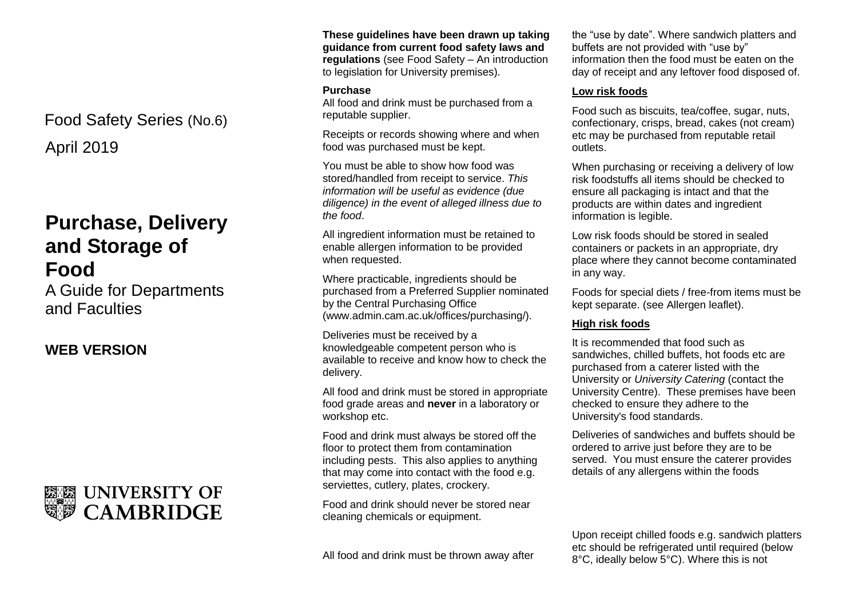April 2019 Food Safety Series (No.6)

# **Purchase, Delivery and Storage of Food**

A Guide for Departments and Faculties

## **WEB VERSION**



**These guidelines have been drawn up taking guidance from current food safety laws and regulations** (see Food Safety – An introduction to legislation for University premises).

#### **Purchase**

All food and drink must be purchased from a reputable supplier.

Receipts or records showing where and when food was purchased must be kept.

You must be able to show how food was stored/handled from receipt to service. *This information will be useful as evidence (due diligence) in the event of alleged illness due to the food*.

All ingredient information must be retained to enable allergen information to be provided when requested.

Where practicable, ingredients should be purchased from a Preferred Supplier nominated by the Central Purchasing Office (www.admin.cam.ac.uk/offices/purchasing/).

Deliveries must be received by a knowledgeable competent person who is available to receive and know how to check the delivery.

All food and drink must be stored in appropriate food grade areas and **never** in a laboratory or workshop etc.

Food and drink must always be stored off the floor to protect them from contamination including pests. This also applies to anything that may come into contact with the food e.g. serviettes, cutlery, plates, crockery.

Food and drink should never be stored near cleaning chemicals or equipment.

All food and drink must be thrown away after

the "use by date". Where sandwich platters and buffets are not provided with "use by" information then the food must be eaten on the day of receipt and any leftover food disposed of.

#### **Low risk foods**

Food such as biscuits, tea/coffee, sugar, nuts, confectionary, crisps, bread, cakes (not cream) etc may be purchased from reputable retail outlets.

When purchasing or receiving a delivery of low risk foodstuffs all items should be checked to ensure all packaging is intact and that the products are within dates and ingredient information is legible.

Low risk foods should be stored in sealed containers or packets in an appropriate, dry place where they cannot become contaminated in any way.

Foods for special diets / free-from items must be kept separate. (see Allergen leaflet).

#### **High risk foods**

It is recommended that food such as sandwiches, chilled buffets, hot foods etc are purchased from a caterer listed with the University or *University Catering* (contact the University Centre). These premises have been checked to ensure they adhere to the University's food standards.

Deliveries of sandwiches and buffets should be ordered to arrive just before they are to be served. You must ensure the caterer provides details of any allergens within the foods

Upon receipt chilled foods e.g. sandwich platters etc should be refrigerated until required (below 8°C, ideally below 5°C). Where this is not